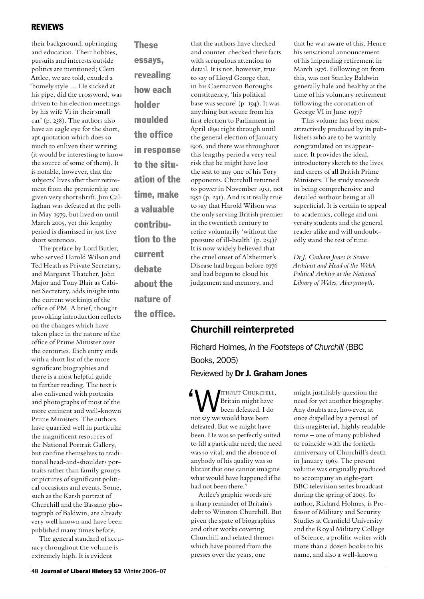### **REVIEWS**

their background, upbringing and education. Their hobbies, pursuits and interests outside politics are mentioned; Clem Attlee, we are told, exuded a 'homely style … He sucked at his pipe, did the crossword, was driven to his election meetings by his wife Vi in their small car' (p. 238). The authors also have an eagle eye for the short, apt quotation which does so much to enliven their writing (it would be interesting to know the source of some of them). It is notable, however, that the subjects' lives after their retirement from the premiership are given very short shrift. Jim Callaghan was defeated at the polls in May 1979, but lived on until March 2005, yet this lengthy period is dismissed in just five short sentences.

The preface by Lord Butler, who served Harold Wilson and Ted Heath as Private Secretary, and Margaret Thatcher, John Major and Tony Blair as Cabinet Secretary, adds insight into the current workings of the office of PM. A brief, thoughtprovoking introduction reflects on the changes which have taken place in the nature of the office of Prime Minister over the centuries. Each entry ends with a short list of the more significant biographies and there is a most helpful guide to further reading. The text is also enlivened with portraits and photographs of most of the more eminent and well-known Prime Ministers. The authors have quarried well in particular the magnificent resources of the National Portrait Gallery, but confine themselves to traditional head-and-shoulders portraits rather than family groups or pictures of significant political occasions and events. Some, such as the Karsh portrait of Churchill and the Bassano photograph of Baldwin, are already very well known and have been published many times before.

The general standard of accuracy throughout the volume is extremely high. It is evident

**These** essays, revealing how each holder moulded the office in response to the situation of the time, make a valuable contribution to the current debate about the nature of

the office.

that the authors have checked and counter-checked their facts with scrupulous attention to detail. It is not, however, true to say of Lloyd George that, in his Caernarvon Boroughs constituency, 'his political base was secure' (p. 194). It was anything but secure from his first election to Parliament in April 1890 right through until the general election of January 1906, and there was throughout this lengthy period a very real risk that he might have lost the seat to any one of his Tory opponents. Churchill returned to power in November 1951, not 1952 (p. 231). And is it really true to say that Harold Wilson was the only serving British premier in the twentieth century to retire voluntarily 'without the pressure of ill-health' (p. 254)? It is now widely believed that the cruel onset of Alzheimer's Disease had begun before 1976 and had begun to cloud his judgement and memory, and

that he was aware of this. Hence his sensational announcement of his impending retirement in March 1976. Following on from this, was not Stanley Baldwin generally hale and healthy at the time of his voluntary retirement following the coronation of George VI in June 1937?

This volume has been most attractively produced by its publishers who are to be warmly congratulated on its appearance. It provides the ideal, introductory sketch to the lives and carers of all British Prime Ministers. The study succeeds in being comprehensive and detailed without being at all superficial. It is certain to appeal to academics, college and university students and the general reader alike and will undoubtedly stand the test of time.

*Dr J. Graham Jones is Senior Archivist and Head of the Welsh Political Archive at the National Library of Wales, Aberystwyth.*

## Churchill reinterpreted

Richard Holmes, *In the Footsteps of Churchill* (BBC Books, 2005) Reviewed by Dr J. Graham Jones

'Without Churchill, been defeated. I do Britain might have not say we would have been defeated. But we might have been. He was so perfectly suited to fill a particular need; the need was so vital; and the absence of anybody of his quality was so blatant that one cannot imagine what would have happened if he had not been there."

Attlee's graphic words are a sharp reminder of Britain's debt to Winston Churchill. But given the spate of biographies and other works covering Churchill and related themes which have poured from the presses over the years, one

might justifiably question the need for yet another biography. Any doubts are, however, at once dispelled by a perusal of this magisterial, highly readable tome – one of many published to coincide with the fortieth anniversary of Churchill's death in January 1965. The present volume was originally produced to accompany an eight-part BBC television series broadcast during the spring of 2005. Its author, Richard Holmes, is Professor of Military and Security Studies at Cranfield University and the Royal Military College of Science, a prolific writer with more than a dozen books to his name, and also a well-known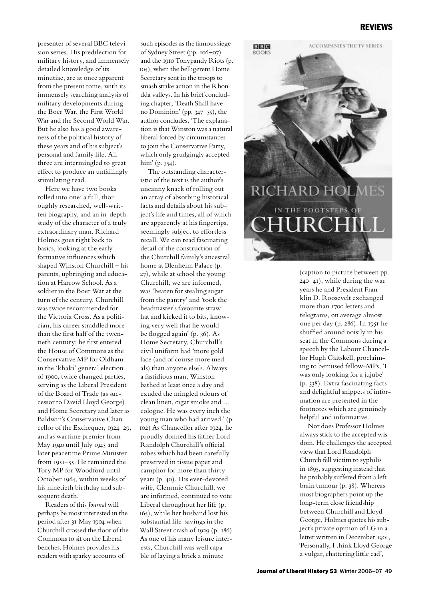### **REVIEWS**

presenter of several BBC television series. His predilection for military history, and immensely detailed knowledge of its minutiae, are at once apparent from the present tome, with its immensely searching analysis of military developments during the Boer War, the First World War and the Second World War. But he also has a good awareness of the political history of these years and of his subject's personal and family life. All three are intermingled to great effect to produce an unfailingly stimulating read.

Here we have two books rolled into one: a full, thoroughly researched, well-written biography, and an in-depth study of the character of a truly extraordinary man. Richard Holmes goes right back to basics, looking at the early formative influences which shaped Winston Churchill – his parents, upbringing and education at Harrow School. As a soldier in the Boer War at the turn of the century, Churchill was twice recommended for the Victoria Cross. As a politician, his career straddled more than the first half of the twentieth century; he first entered the House of Commons as the Conservative MP for Oldham in the 'khaki' general election of 1900, twice changed parties, serving as the Liberal President of the Board of Trade (as successor to David Lloyd George) and Home Secretary and later as Baldwin's Conservative Chancellor of the Exchequer, 1924–29, and as wartime premier from May 1940 until July 1945 and later peacetime Prime Minister from 1951–55. He remained the Tory MP for Woodford until October 1964, within weeks of his ninetieth birthday and subsequent death.

Readers of this *Journal* will perhaps be most interested in the period after 31 May 1904 when Churchill crossed the floor of the Commons to sit on the Liberal benches. Holmes provides his readers with sparky accounts of

such episodes as the famous siege of Sydney Street (pp. 106–07) and the 1910 Tonypandy Riots (p. 105), when the belligerent Home Secretary sent in the troops to smash strike action in the Rhondda valleys. In his brief concluding chapter, 'Death Shall have no Dominion' (pp. 347–55), the author concludes, 'The explanation is that Winston was a natural liberal forced by circumstances to join the Conservative Party, which only grudgingly accepted him' (p. 354).

The outstanding characteristic of the text is the author's uncanny knack of rolling out an array of absorbing historical facts and details about his subject's life and times, all of which are apparently at his fingertips, seemingly subject to effortless recall. We can read fascinating detail of the construction of the Churchill family's ancestral home at Blenheim Palace (p. 27), while at school the young Churchill, we are informed, was 'beaten for stealing sugar from the pantry' and 'took the headmaster's favourite straw hat and kicked it to bits, knowing very well that he would be flogged again' (p. 36). As Home Secretary, Churchill's civil uniform had 'more gold lace (and of course more medals) than anyone else's. Always a fastidious man, Winston bathed at least once a day and exuded the mingled odours of clean linen, cigar smoke and … cologne. He was every inch the young man who had arrived.' (p. 102) As Chancellor after 1924, he proudly donned his father Lord Randolph Churchill's official robes which had been carefully preserved in tissue paper and camphor for more than thirty years (p. 40). His ever-devoted wife, Clemmie Churchill, we are informed, continued to vote Liberal throughout her life (p. 165), while her husband lost his substantial life-savings in the Wall Street crash of 1929 (p. 186). As one of his many leisure interests, Churchill was well capable of laying a brick a minute



(caption to picture between pp. 240–41), while during the war years he and President Franklin D. Roosevelt exchanged more than 1700 letters and telegrams, on average almost one per day (p. 286). In 1951 he shuffled around noisily in his seat in the Commons during a speech by the Labour Chancellor Hugh Gaitskell, proclaiming to bemused fellow-MPs, 'I was only looking for a jujube' (p. 338). Extra fascinating facts and delightful snippets of information are presented in the footnotes which are genuinely helpful and informative.

Nor does Professor Holmes always stick to the accepted wisdom. He challenges the accepted view that Lord Randolph Church fell victim to syphilis in 1895, suggesting instead that he probably suffered from a left brain tumour (p. 38). Whereas most biographers point up the long-term close friendship between Churchill and Lloyd George, Holmes quotes his subject's private opinion of LG in a letter written in December 1901, 'Personally, I think Lloyd George a vulgar, chattering little cad',